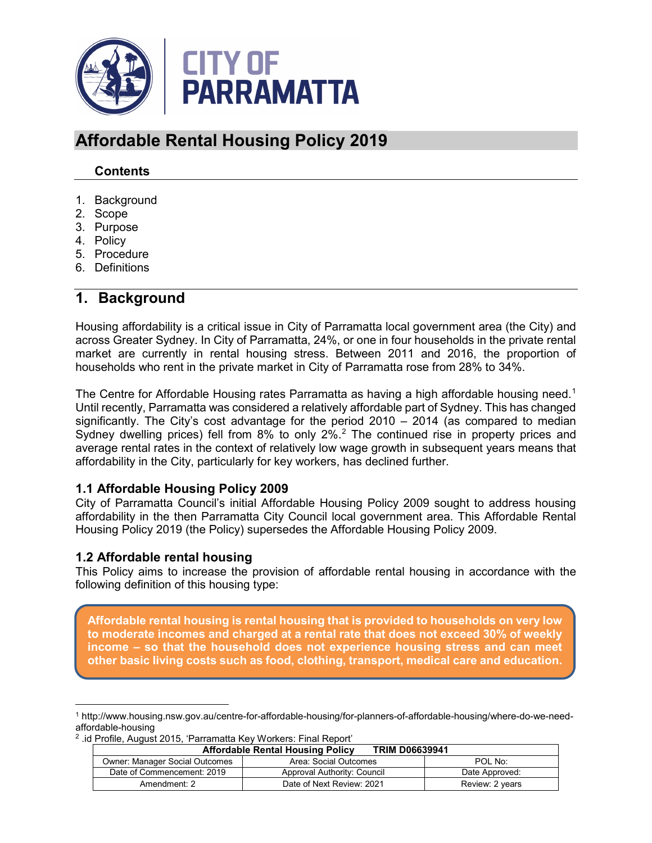

# **Affordable Rental Housing Policy 2019**

### **Contents**

- 1. Background
- 2. Scope
- 3. Purpose
- 4. Policy
- 5. Procedure
- 6. Definitions

### **1. Background**

Housing affordability is a critical issue in City of Parramatta local government area (the City) and across Greater Sydney. In City of Parramatta, 24%, or one in four households in the private rental market are currently in rental housing stress. Between 2011 and 2016, the proportion of households who rent in the private market in City of Parramatta rose from 28% to 34%.

The Centre for Affordable Housing rates Parramatta as having a high affordable housing need.<sup>[1](#page-0-0)</sup> Until recently, Parramatta was considered a relatively affordable part of Sydney. This has changed significantly. The City's cost advantage for the period 2010 – 2014 (as compared to median Sydney dwelling prices) fell from 8% to only [2](#page-0-1)%.<sup>2</sup> The continued rise in property prices and average rental rates in the context of relatively low wage growth in subsequent years means that affordability in the City, particularly for key workers, has declined further.

### **1.1 Affordable Housing Policy 2009**

City of Parramatta Council's initial Affordable Housing Policy 2009 sought to address housing affordability in the then Parramatta City Council local government area. This Affordable Rental Housing Policy 2019 (the Policy) supersedes the Affordable Housing Policy 2009.

### **1.2 Affordable rental housing**

 $\overline{a}$ 

This Policy aims to increase the provision of affordable rental housing in accordance with the following definition of this housing type:

**Affordable rental housing is rental housing that is provided to households on very low to moderate incomes and charged at a rental rate that does not exceed 30% of weekly income – so that the household does not experience housing stress and can meet other basic living costs such as food, clothing, transport, medical care and education.**

<span id="page-0-1"></span><sup>2</sup> .id Profile, August 2015, 'Parramatta Key Workers: Final Report'

| <b>Affordable Rental Housing Policy</b><br><b>TRIM D06639941</b> |                             |                 |
|------------------------------------------------------------------|-----------------------------|-----------------|
| Owner: Manager Social Outcomes                                   | Area: Social Outcomes       | POL No:         |
| Date of Commencement: 2019                                       | Approval Authority: Council | Date Approved:  |
| Amendment: 2                                                     | Date of Next Review: 2021   | Review: 2 years |

<span id="page-0-0"></span><sup>1</sup> http://www.housing.nsw.gov.au/centre-for-affordable-housing/for-planners-of-affordable-housing/where-do-we-needaffordable-housing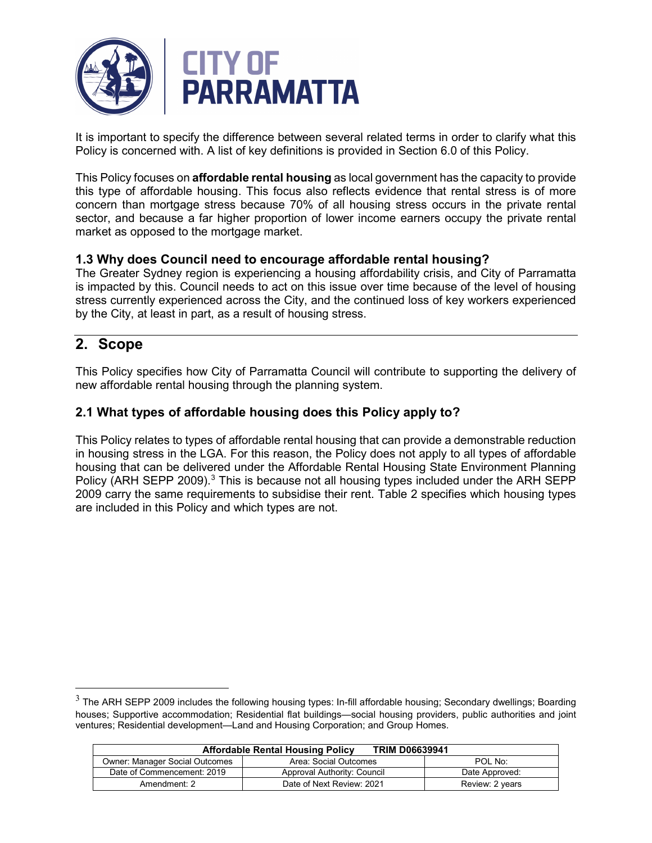

It is important to specify the difference between several related terms in order to clarify what this Policy is concerned with. A list of key definitions is provided in Section 6.0 of this Policy.

This Policy focuses on **affordable rental housing** as local government has the capacity to provide this type of affordable housing. This focus also reflects evidence that rental stress is of more concern than mortgage stress because 70% of all housing stress occurs in the private rental sector, and because a far higher proportion of lower income earners occupy the private rental market as opposed to the mortgage market.

### **1.3 Why does Council need to encourage affordable rental housing?**

The Greater Sydney region is experiencing a housing affordability crisis, and City of Parramatta is impacted by this. Council needs to act on this issue over time because of the level of housing stress currently experienced across the City, and the continued loss of key workers experienced by the City, at least in part, as a result of housing stress.

### **2. Scope**

This Policy specifies how City of Parramatta Council will contribute to supporting the delivery of new affordable rental housing through the planning system.

### **2.1 What types of affordable housing does this Policy apply to?**

This Policy relates to types of affordable rental housing that can provide a demonstrable reduction in housing stress in the LGA. For this reason, the Policy does not apply to all types of affordable housing that can be delivered under the Affordable Rental Housing State Environment Planning Policy (ARH SEPP 2009).<sup>[3](#page-1-0)</sup> This is because not all housing types included under the ARH SEPP 2009 carry the same requirements to subsidise their rent. Table 2 specifies which housing types are included in this Policy and which types are not.

<span id="page-1-0"></span> $3$  The ARH SEPP 2009 includes the following housing types: In-fill affordable housing; Secondary dwellings; Boarding houses; Supportive accommodation; Residential flat buildings—social housing providers, public authorities and joint ventures; Residential development—Land and Housing Corporation; and Group Homes.

| <b>TRIM D06639941</b><br><b>Affordable Rental Housing Policy</b> |                             |                 |
|------------------------------------------------------------------|-----------------------------|-----------------|
| <b>Owner: Manager Social Outcomes</b>                            | Area: Social Outcomes       | POL No:         |
| Date of Commencement: 2019                                       | Approval Authority: Council | Date Approved:  |
| Amendment: 2                                                     | Date of Next Review: 2021   | Review: 2 years |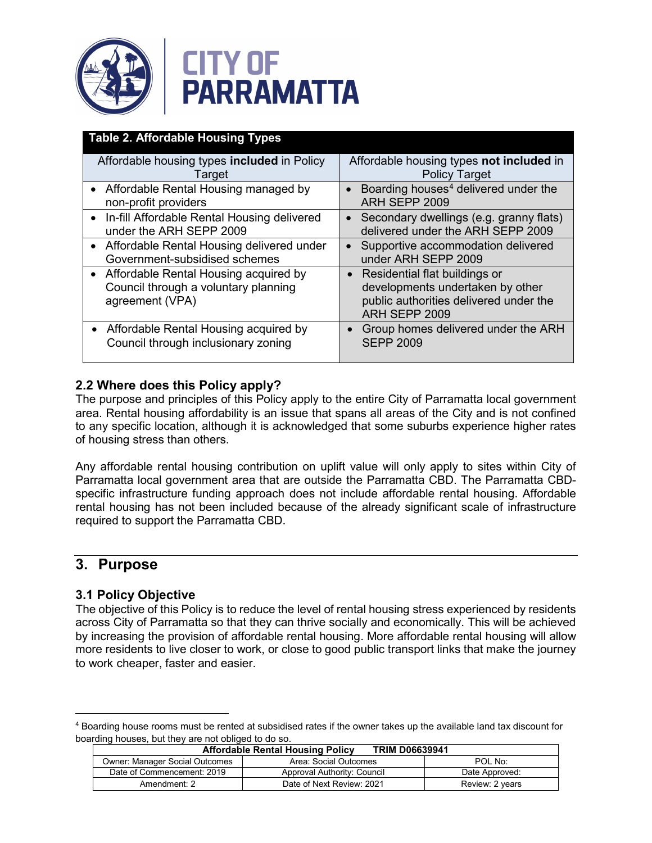



| <b>Table 2. Affordable Housing Types</b>                                                           |                                                                                                                                           |
|----------------------------------------------------------------------------------------------------|-------------------------------------------------------------------------------------------------------------------------------------------|
| Affordable housing types included in Policy<br>Target                                              | Affordable housing types not included in<br><b>Policy Target</b>                                                                          |
| • Affordable Rental Housing managed by<br>non-profit providers                                     | Boarding houses <sup>4</sup> delivered under the<br>$\bullet$<br>ARH SEPP 2009                                                            |
| • In-fill Affordable Rental Housing delivered<br>under the ARH SEPP 2009                           | Secondary dwellings (e.g. granny flats)<br>$\bullet$<br>delivered under the ARH SEPP 2009                                                 |
| • Affordable Rental Housing delivered under<br>Government-subsidised schemes                       | Supportive accommodation delivered<br>$\bullet$<br>under ARH SEPP 2009                                                                    |
| • Affordable Rental Housing acquired by<br>Council through a voluntary planning<br>agreement (VPA) | Residential flat buildings or<br>$\bullet$<br>developments undertaken by other<br>public authorities delivered under the<br>ARH SEPP 2009 |
| • Affordable Rental Housing acquired by<br>Council through inclusionary zoning                     | Group homes delivered under the ARH<br><b>SEPP 2009</b>                                                                                   |

### **2.2 Where does this Policy apply?**

The purpose and principles of this Policy apply to the entire City of Parramatta local government area. Rental housing affordability is an issue that spans all areas of the City and is not confined to any specific location, although it is acknowledged that some suburbs experience higher rates of housing stress than others.

Any affordable rental housing contribution on uplift value will only apply to sites within City of Parramatta local government area that are outside the Parramatta CBD. The Parramatta CBDspecific infrastructure funding approach does not include affordable rental housing. Affordable rental housing has not been included because of the already significant scale of infrastructure required to support the Parramatta CBD.

### **3. Purpose**

 $\overline{a}$ 

### **3.1 Policy Objective**

The objective of this Policy is to reduce the level of rental housing stress experienced by residents across City of Parramatta so that they can thrive socially and economically. This will be achieved by increasing the provision of affordable rental housing. More affordable rental housing will allow more residents to live closer to work, or close to good public transport links that make the journey to work cheaper, faster and easier.

<span id="page-2-0"></span><sup>4</sup> Boarding house rooms must be rented at subsidised rates if the owner takes up the available land tax discount for boarding houses, but they are not obliged to do so.

| <b>Affordable Rental Housing Policy</b><br><b>TRIM D06639941</b> |                             |                 |
|------------------------------------------------------------------|-----------------------------|-----------------|
| Owner: Manager Social Outcomes                                   | Area: Social Outcomes       | POL No:         |
| Date of Commencement: 2019                                       | Approval Authority: Council | Date Approved:  |
| Amendment: 2                                                     | Date of Next Review: 2021   | Review: 2 years |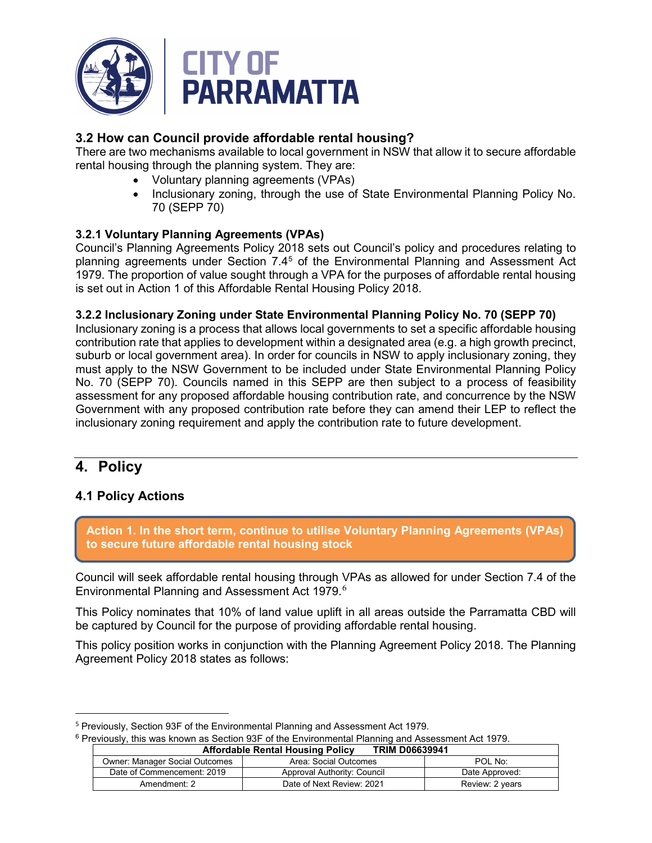

### **3.2 How can Council provide affordable rental housing?**

There are two mechanisms available to local government in NSW that allow it to secure affordable rental housing through the planning system. They are:

- Voluntary planning agreements (VPAs)
- Inclusionary zoning, through the use of State Environmental Planning Policy No. 70 (SEPP 70)

#### **3.2.1 Voluntary Planning Agreements (VPAs)**

Council's Planning Agreements Policy 2018 sets out Council's policy and procedures relating to planning agreements under Section 7.4[5](#page-3-0) of the Environmental Planning and Assessment Act 1979. The proportion of value sought through a VPA for the purposes of affordable rental housing is set out in Action 1 of this Affordable Rental Housing Policy 2018.

#### **3.2.2 Inclusionary Zoning under State Environmental Planning Policy No. 70 (SEPP 70)**

Inclusionary zoning is a process that allows local governments to set a specific affordable housing contribution rate that applies to development within a designated area (e.g. a high growth precinct, suburb or local government area). In order for councils in NSW to apply inclusionary zoning, they must apply to the NSW Government to be included under State Environmental Planning Policy No. 70 (SEPP 70). Councils named in this SEPP are then subject to a process of feasibility assessment for any proposed affordable housing contribution rate, and concurrence by the NSW Government with any proposed contribution rate before they can amend their LEP to reflect the inclusionary zoning requirement and apply the contribution rate to future development.

## **4. Policy**

 $\overline{a}$ 

### **4.1 Policy Actions**

**Action 1. In the short term, continue to utilise Voluntary Planning Agreements (VPAs) to secure future affordable rental housing stock**

Council will seek affordable rental housing through VPAs as allowed for under Section 7.4 of the Environmental Planning and Assessment Act 1979.<sup>[6](#page-3-1)</sup>

This Policy nominates that 10% of land value uplift in all areas outside the Parramatta CBD will be captured by Council for the purpose of providing affordable rental housing.

This policy position works in conjunction with the Planning Agreement Policy 2018. The Planning Agreement Policy 2018 states as follows:

<sup>6</sup> Previously, this was known as Section 93F of the Environmental Planning and Assessment Act 1979.

| <b>Affordable Rental Housing Policy</b><br><b>TRIM D06639941</b> |                             |                 |
|------------------------------------------------------------------|-----------------------------|-----------------|
| <b>Owner: Manager Social Outcomes</b>                            | Area: Social Outcomes       | POL No:         |
| Date of Commencement: 2019                                       | Approval Authority: Council | Date Approved:  |
| Amendment: 2                                                     | Date of Next Review: 2021   | Review: 2 years |

<span id="page-3-1"></span><span id="page-3-0"></span><sup>&</sup>lt;sup>5</sup> Previously, Section 93F of the Environmental Planning and Assessment Act 1979.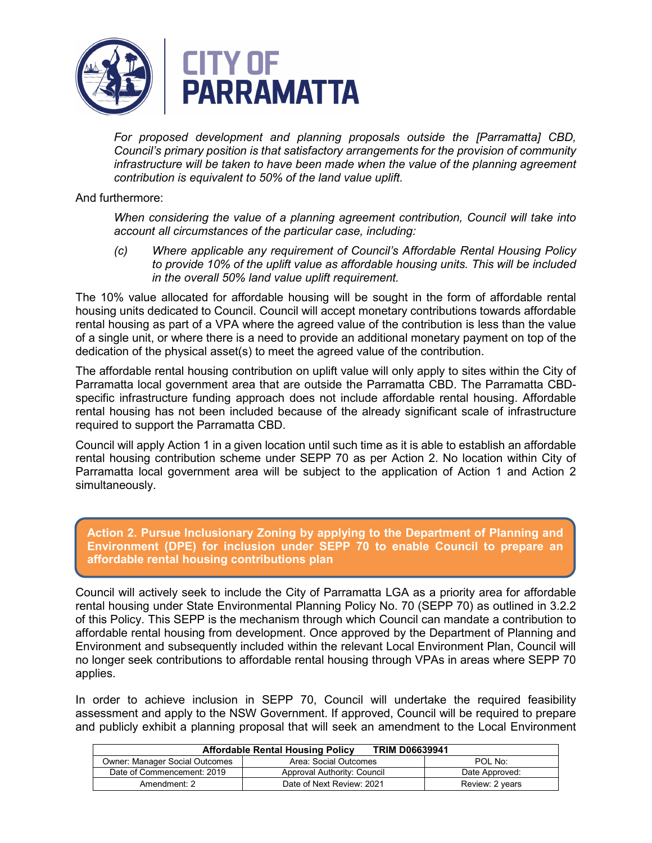

*For proposed development and planning proposals outside the [Parramatta] CBD, Council's primary position is that satisfactory arrangements for the provision of community infrastructure will be taken to have been made when the value of the planning agreement contribution is equivalent to 50% of the land value uplift.*

#### And furthermore:

*When considering the value of a planning agreement contribution, Council will take into account all circumstances of the particular case, including:*

*(c) Where applicable any requirement of Council's Affordable Rental Housing Policy to provide 10% of the uplift value as affordable housing units. This will be included in the overall 50% land value uplift requirement.* 

The 10% value allocated for affordable housing will be sought in the form of affordable rental housing units dedicated to Council. Council will accept monetary contributions towards affordable rental housing as part of a VPA where the agreed value of the contribution is less than the value of a single unit, or where there is a need to provide an additional monetary payment on top of the dedication of the physical asset(s) to meet the agreed value of the contribution.

The affordable rental housing contribution on uplift value will only apply to sites within the City of Parramatta local government area that are outside the Parramatta CBD. The Parramatta CBDspecific infrastructure funding approach does not include affordable rental housing. Affordable rental housing has not been included because of the already significant scale of infrastructure required to support the Parramatta CBD.

Council will apply Action 1 in a given location until such time as it is able to establish an affordable rental housing contribution scheme under SEPP 70 as per Action 2. No location within City of Parramatta local government area will be subject to the application of Action 1 and Action 2 simultaneously.

**Action 2. Pursue Inclusionary Zoning by applying to the Department of Planning and Environment (DPE) for inclusion under SEPP 70 to enable Council to prepare an affordable rental housing contributions plan**

Council will actively seek to include the City of Parramatta LGA as a priority area for affordable rental housing under State Environmental Planning Policy No. 70 (SEPP 70) as outlined in 3.2.2 of this Policy. This SEPP is the mechanism through which Council can mandate a contribution to affordable rental housing from development. Once approved by the Department of Planning and Environment and subsequently included within the relevant Local Environment Plan, Council will no longer seek contributions to affordable rental housing through VPAs in areas where SEPP 70 applies.

In order to achieve inclusion in SEPP 70, Council will undertake the required feasibility assessment and apply to the NSW Government. If approved, Council will be required to prepare and publicly exhibit a planning proposal that will seek an amendment to the Local Environment

| <b>TRIM D06639941</b><br><b>Affordable Rental Housing Policy</b> |                             |                 |
|------------------------------------------------------------------|-----------------------------|-----------------|
| <b>Owner: Manager Social Outcomes</b>                            | Area: Social Outcomes       | POL No:         |
| Date of Commencement: 2019                                       | Approval Authority: Council | Date Approved:  |
| Amendment: 2                                                     | Date of Next Review: 2021   | Review: 2 years |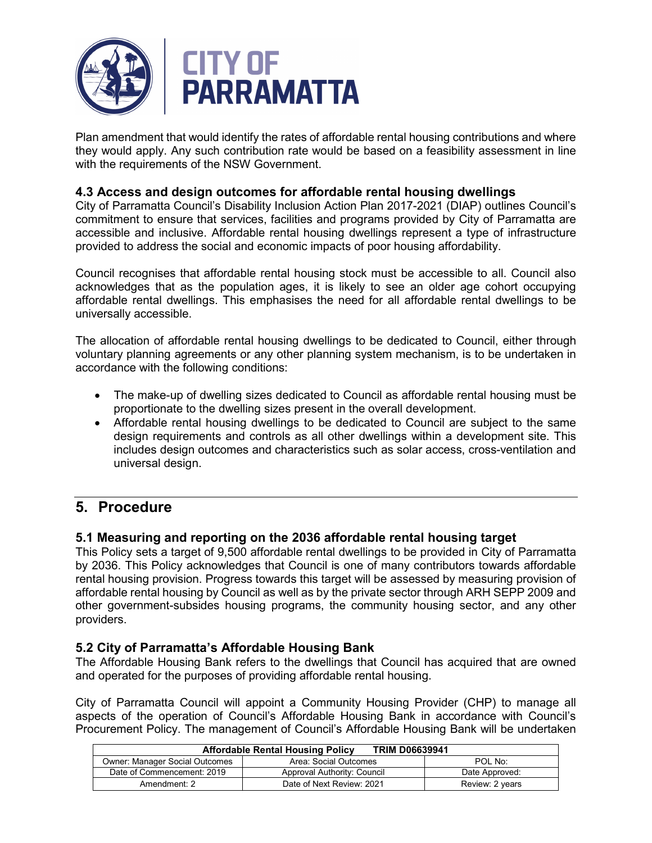

Plan amendment that would identify the rates of affordable rental housing contributions and where they would apply. Any such contribution rate would be based on a feasibility assessment in line with the requirements of the NSW Government.

### **4.3 Access and design outcomes for affordable rental housing dwellings**

City of Parramatta Council's Disability Inclusion Action Plan 2017-2021 (DIAP) outlines Council's commitment to ensure that services, facilities and programs provided by City of Parramatta are accessible and inclusive. Affordable rental housing dwellings represent a type of infrastructure provided to address the social and economic impacts of poor housing affordability.

Council recognises that affordable rental housing stock must be accessible to all. Council also acknowledges that as the population ages, it is likely to see an older age cohort occupying affordable rental dwellings. This emphasises the need for all affordable rental dwellings to be universally accessible.

The allocation of affordable rental housing dwellings to be dedicated to Council, either through voluntary planning agreements or any other planning system mechanism, is to be undertaken in accordance with the following conditions:

- The make-up of dwelling sizes dedicated to Council as affordable rental housing must be proportionate to the dwelling sizes present in the overall development.
- Affordable rental housing dwellings to be dedicated to Council are subject to the same design requirements and controls as all other dwellings within a development site. This includes design outcomes and characteristics such as solar access, cross-ventilation and universal design.

## **5. Procedure**

### **5.1 Measuring and reporting on the 2036 affordable rental housing target**

This Policy sets a target of 9,500 affordable rental dwellings to be provided in City of Parramatta by 2036. This Policy acknowledges that Council is one of many contributors towards affordable rental housing provision. Progress towards this target will be assessed by measuring provision of affordable rental housing by Council as well as by the private sector through ARH SEPP 2009 and other government-subsides housing programs, the community housing sector, and any other providers.

### **5.2 City of Parramatta's Affordable Housing Bank**

The Affordable Housing Bank refers to the dwellings that Council has acquired that are owned and operated for the purposes of providing affordable rental housing.

City of Parramatta Council will appoint a Community Housing Provider (CHP) to manage all aspects of the operation of Council's Affordable Housing Bank in accordance with Council's Procurement Policy. The management of Council's Affordable Housing Bank will be undertaken

| <b>Affordable Rental Housing Policy</b><br><b>TRIM D06639941</b> |                             |                 |
|------------------------------------------------------------------|-----------------------------|-----------------|
| <b>Owner: Manager Social Outcomes</b>                            | Area: Social Outcomes       | POL No:         |
| Date of Commencement: 2019                                       | Approval Authority: Council | Date Approved:  |
| Amendment: 2                                                     | Date of Next Review: 2021   | Review: 2 years |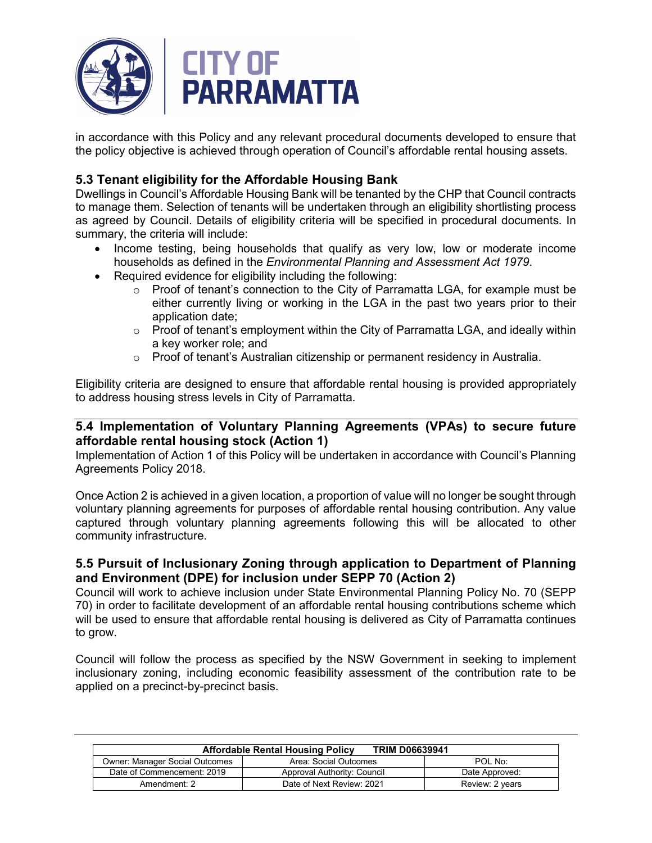

in accordance with this Policy and any relevant procedural documents developed to ensure that the policy objective is achieved through operation of Council's affordable rental housing assets.

### **5.3 Tenant eligibility for the Affordable Housing Bank**

Dwellings in Council's Affordable Housing Bank will be tenanted by the CHP that Council contracts to manage them. Selection of tenants will be undertaken through an eligibility shortlisting process as agreed by Council. Details of eligibility criteria will be specified in procedural documents. In summary, the criteria will include:

- Income testing, being households that qualify as very low, low or moderate income households as defined in the *Environmental Planning and Assessment Act 1979*.
- Required evidence for eligibility including the following:
	- o Proof of tenant's connection to the City of Parramatta LGA, for example must be either currently living or working in the LGA in the past two years prior to their application date;
	- $\circ$  Proof of tenant's employment within the City of Parramatta LGA, and ideally within a key worker role; and
	- $\circ$  Proof of tenant's Australian citizenship or permanent residency in Australia.

Eligibility criteria are designed to ensure that affordable rental housing is provided appropriately to address housing stress levels in City of Parramatta.

#### **5.4 Implementation of Voluntary Planning Agreements (VPAs) to secure future affordable rental housing stock (Action 1)**

Implementation of Action 1 of this Policy will be undertaken in accordance with Council's Planning Agreements Policy 2018.

Once Action 2 is achieved in a given location, a proportion of value will no longer be sought through voluntary planning agreements for purposes of affordable rental housing contribution. Any value captured through voluntary planning agreements following this will be allocated to other community infrastructure.

#### **5.5 Pursuit of Inclusionary Zoning through application to Department of Planning and Environment (DPE) for inclusion under SEPP 70 (Action 2)**

Council will work to achieve inclusion under State Environmental Planning Policy No. 70 (SEPP 70) in order to facilitate development of an affordable rental housing contributions scheme which will be used to ensure that affordable rental housing is delivered as City of Parramatta continues to grow.

Council will follow the process as specified by the NSW Government in seeking to implement inclusionary zoning, including economic feasibility assessment of the contribution rate to be applied on a precinct-by-precinct basis.

| <b>TRIM D06639941</b><br><b>Affordable Rental Housing Policy</b> |                             |                 |
|------------------------------------------------------------------|-----------------------------|-----------------|
| <b>Owner: Manager Social Outcomes</b>                            | Area: Social Outcomes       | POL No:         |
| Date of Commencement: 2019                                       | Approval Authority: Council | Date Approved:  |
| Amendment: 2                                                     | Date of Next Review: 2021   | Review: 2 years |